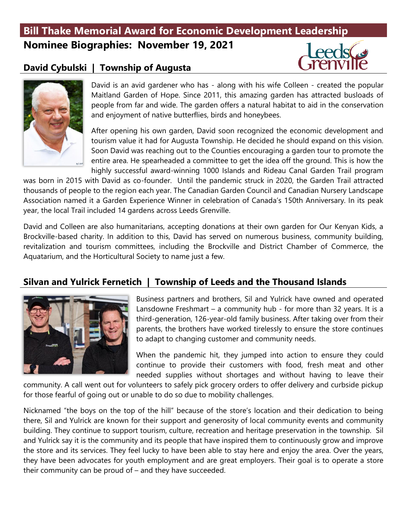# **Bill Thake Memorial Award for Economic Development Leadership Nominee Biographies: November 19, 2021**

#### **David Cybulski | Township of Augusta**





David is an avid gardener who has - along with his wife Colleen - created the popular Maitland Garden of Hope. Since 2011, this amazing garden has attracted busloads of people from far and wide. The garden offers a natural habitat to aid in the conservation and enjoyment of native butterflies, birds and honeybees.

After opening his own garden, David soon recognized the economic development and tourism value it had for Augusta Township. He decided he should expand on this vision. Soon David was reaching out to the Counties encouraging a garden tour to promote the entire area. He spearheaded a committee to get the idea off the ground. This is how the highly successful award-winning 1000 Islands and Rideau Canal Garden Trail program

was born in 2015 with David as co-founder. Until the pandemic struck in 2020, the Garden Trail attracted thousands of people to the region each year. The Canadian Garden Council and Canadian Nursery Landscape Association named it a Garden Experience Winner in celebration of Canada's 150th Anniversary. In its peak year, the local Trail included 14 gardens across Leeds Grenville.

David and Colleen are also humanitarians, accepting donations at their own garden for Our Kenyan Kids, a Brockville-based charity. In addition to this, David has served on numerous business, community building, revitalization and tourism committees, including the Brockville and District Chamber of Commerce, the Aquatarium, and the Horticultural Society to name just a few.

#### **Silvan and Yulrick Fernetich | Township of Leeds and the Thousand Islands**



Business partners and brothers, Sil and Yulrick have owned and operated Lansdowne Freshmart – a community hub - for more than 32 years. It is a third-generation, 126-year-old family business. After taking over from their parents, the brothers have worked tirelessly to ensure the store continues to adapt to changing customer and community needs.

When the pandemic hit, they jumped into action to ensure they could continue to provide their customers with food, fresh meat and other needed supplies without shortages and without having to leave their

community. A call went out for volunteers to safely pick grocery orders to offer delivery and curbside pickup for those fearful of going out or unable to do so due to mobility challenges.

Nicknamed "the boys on the top of the hill" because of the store's location and their dedication to being there, Sil and Yulrick are known for their support and generosity of local community events and community building. They continue to support tourism, culture, recreation and heritage preservation in the township. Sil and Yulrick say it is the community and its people that have inspired them to continuously grow and improve the store and its services. They feel lucky to have been able to stay here and enjoy the area. Over the years, they have been advocates for youth employment and are great employers. Their goal is to operate a store their community can be proud of – and they have succeeded.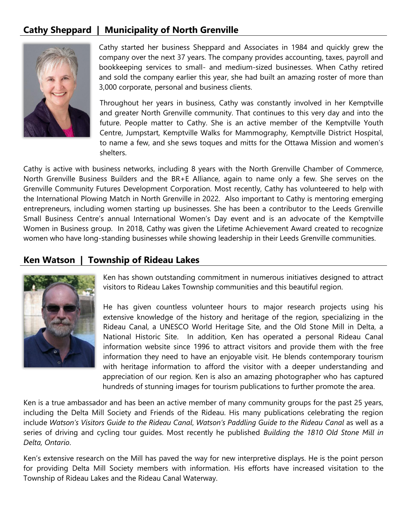### **Cathy Sheppard | Municipality of North Grenville**



Cathy started her business Sheppard and Associates in 1984 and quickly grew the company over the next 37 years. The company provides accounting, taxes, payroll and bookkeeping services to small- and medium-sized businesses. When Cathy retired and sold the company earlier this year, she had built an amazing roster of more than 3,000 corporate, personal and business clients.

Throughout her years in business, Cathy was constantly involved in her Kemptville and greater North Grenville community. That continues to this very day and into the future. People matter to Cathy. She is an active member of the Kemptville Youth Centre, Jumpstart, Kemptville Walks for Mammography, Kemptville District Hospital, to name a few, and she sews toques and mitts for the Ottawa Mission and women's shelters.

Cathy is active with business networks, including 8 years with the North Grenville Chamber of Commerce, North Grenville Business Builders and the BR+E Alliance, again to name only a few. She serves on the Grenville Community Futures Development Corporation. Most recently, Cathy has volunteered to help with the International Plowing Match in North Grenville in 2022. Also important to Cathy is mentoring emerging entrepreneurs, including women starting up businesses. She has been a contributor to the Leeds Grenville Small Business Centre's annual International Women's Day event and is an advocate of the Kemptville Women in Business group. In 2018, Cathy was given the Lifetime Achievement Award created to recognize women who have long-standing businesses while showing leadership in their Leeds Grenville communities.

#### **Ken Watson | Township of Rideau Lakes**



Ken has shown outstanding commitment in numerous initiatives designed to attract visitors to Rideau Lakes Township communities and this beautiful region.

He has given countless volunteer hours to major research projects using his extensive knowledge of the history and heritage of the region, specializing in the Rideau Canal, a UNESCO World Heritage Site, and the Old Stone Mill in Delta, a National Historic Site. In addition, Ken has operated a personal Rideau Canal information website since 1996 to attract visitors and provide them with the free information they need to have an enjoyable visit. He blends contemporary tourism with heritage information to afford the visitor with a deeper understanding and appreciation of our region. Ken is also an amazing photographer who has captured hundreds of stunning images for tourism publications to further promote the area.

Ken is a true ambassador and has been an active member of many community groups for the past 25 years, including the Delta Mill Society and Friends of the Rideau. His many publications celebrating the region include *Watson's Visitors Guide to the Rideau Canal*, *Watson's Paddling Guide to the Rideau Canal* as well as a series of driving and cycling tour guides. Most recently he published *Building the 1810 Old Stone Mill in Delta, Ontario*.

Ken's extensive research on the Mill has paved the way for new interpretive displays. He is the point person for providing Delta Mill Society members with information. His efforts have increased visitation to the Township of Rideau Lakes and the Rideau Canal Waterway.